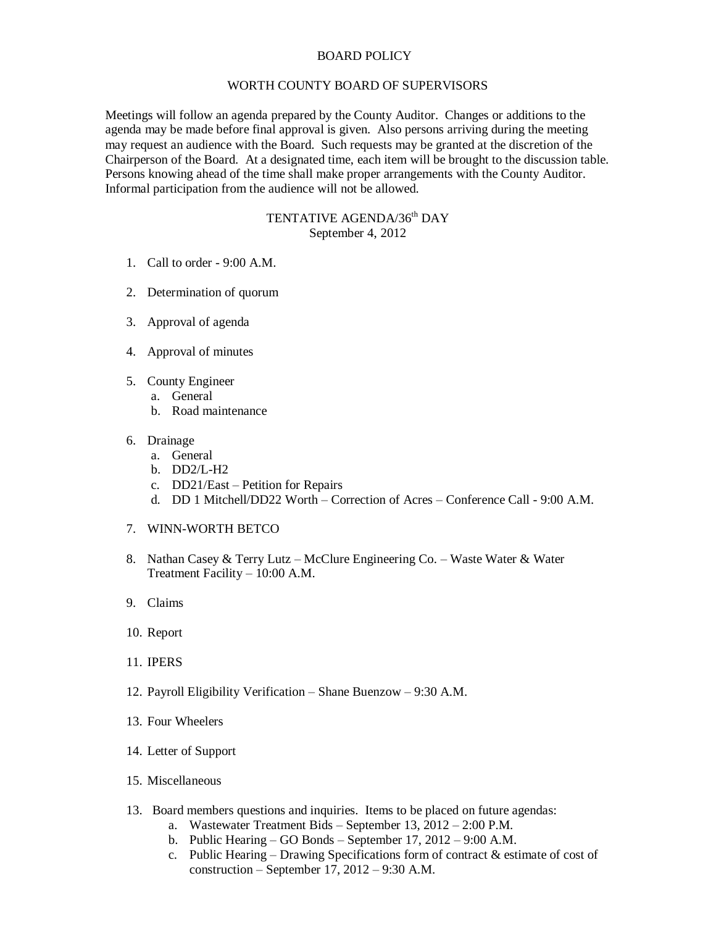## BOARD POLICY

## WORTH COUNTY BOARD OF SUPERVISORS

Meetings will follow an agenda prepared by the County Auditor. Changes or additions to the agenda may be made before final approval is given. Also persons arriving during the meeting may request an audience with the Board. Such requests may be granted at the discretion of the Chairperson of the Board. At a designated time, each item will be brought to the discussion table. Persons knowing ahead of the time shall make proper arrangements with the County Auditor. Informal participation from the audience will not be allowed.

## TENTATIVE AGENDA/36<sup>th</sup> DAY September 4, 2012

- 1. Call to order 9:00 A.M.
- 2. Determination of quorum
- 3. Approval of agenda
- 4. Approval of minutes
- 5. County Engineer
	- a. General
	- b. Road maintenance
- 6. Drainage
	- a. General
	- b. DD2/L-H2
	- c. DD21/East Petition for Repairs
	- d. DD 1 Mitchell/DD22 Worth Correction of Acres Conference Call 9:00 A.M.
- 7. WINN-WORTH BETCO
- 8. Nathan Casey & Terry Lutz McClure Engineering Co. Waste Water & Water Treatment Facility – 10:00 A.M.
- 9. Claims
- 10. Report
- 11. IPERS
- 12. Payroll Eligibility Verification Shane Buenzow 9:30 A.M.
- 13. Four Wheelers
- 14. Letter of Support
- 15. Miscellaneous
- 13. Board members questions and inquiries. Items to be placed on future agendas:
	- a. Wastewater Treatment Bids September 13, 2012 2:00 P.M.
	- b. Public Hearing GO Bonds September 17, 2012 9:00 A.M.
	- c. Public Hearing Drawing Specifications form of contract & estimate of cost of construction – September 17, 2012 – 9:30 A.M.